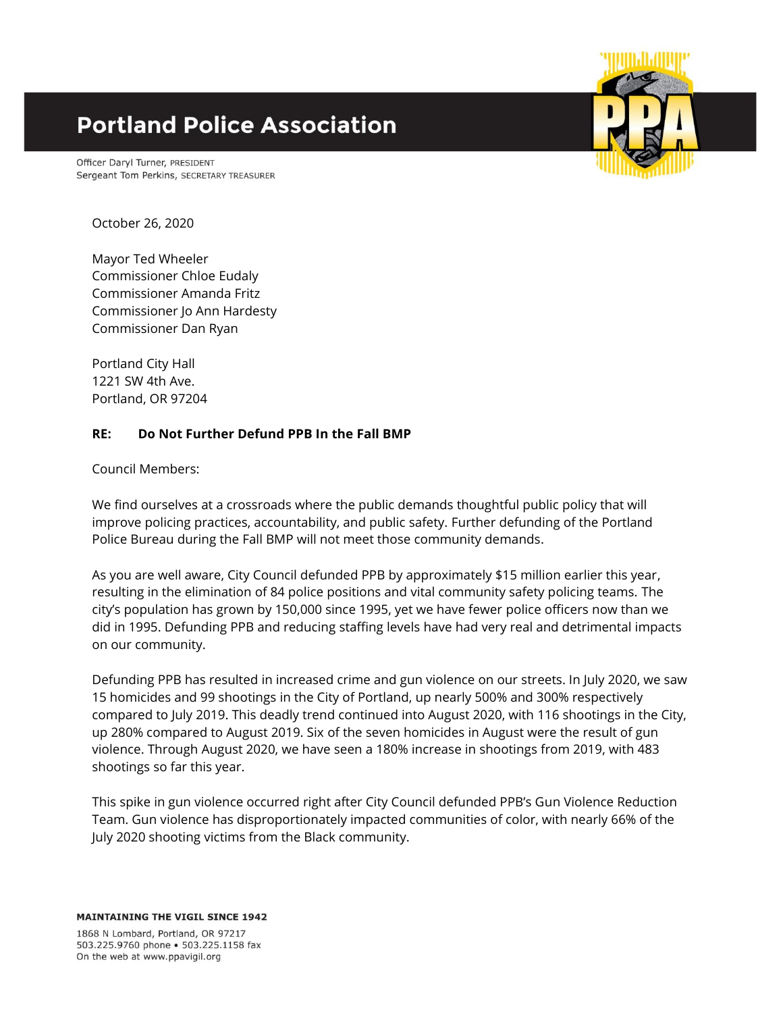## **Portland Police Association**

Officer Daryl Turner, PRESIDENT Sergeant Tom Perkins, SECRETARY TREASURER



October 26, 2020

Mayor Ted Wheeler Commissioner Chloe Eudaly Commissioner Amanda Fritz Commissioner Jo Ann Hardesty Commissioner Dan Ryan

Portland City Hall 1221 SW 4th Ave. Portland, OR 97204

## **RE: Do Not Further Defund PPB In the Fall BMP**

Council Members:

We find ourselves at a crossroads where the public demands thoughtful public policy that will improve policing practices, accountability, and public safety. Further defunding of the Portland Police Bureau during the Fall BMP will not meet those community demands.

As you are well aware, City Council defunded PPB by approximately \$15 million earlier this year, resulting in the elimination of 84 police positions and vital community safety policing teams. The city's population has grown by 150,000 since 1995, yet we have fewer police officers now than we did in 1995. Defunding PPB and reducing staffing levels have had very real and detrimental impacts on our community.

Defunding PPB has resulted in increased crime and gun violence on our streets. In July 2020, we saw 15 homicides and 99 shootings in the City of Portland, up nearly 500% and 300% respectively compared to July 2019. This deadly trend continued into August 2020, with 116 shootings in the City, up 280% compared to August 2019. Six of the seven homicides in August were the result of gun violence. Through August 2020, we have seen a 180% increase in shootings from 2019, with 483 shootings so far this year.

This spike in gun violence occurred right after City Council defunded PPB's Gun Violence Reduction Team. Gun violence has disproportionately impacted communities of color, with nearly 66% of the July 2020 shooting victims from the Black community.

1868 N Lombard, Portland, OR 97217 503.225.9760 phone . 503.225.1158 fax On the web at www.ppavigil.org